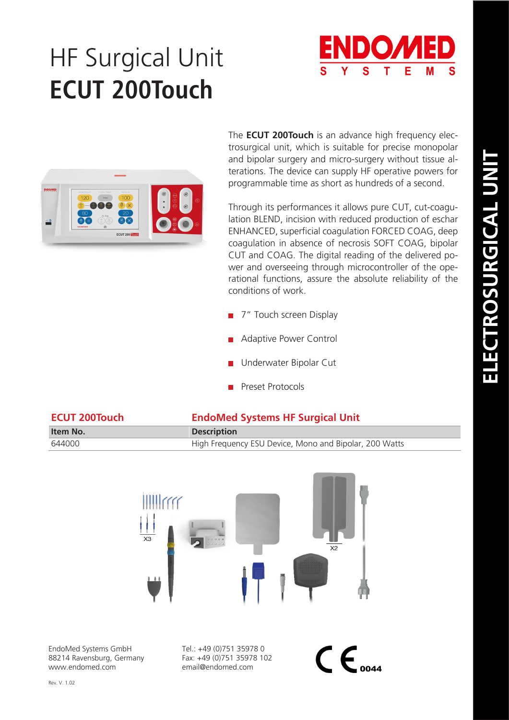# HF Surgical Unit **ECUT 200Touch**



The **ECUT 200Touch** is an advance high frequency electrosurgical unit, which is suitable for precise monopolar and bipolar surgery and micro-surgery without tissue alterations. The device can supply HF operative powers for programmable time as short as hundreds of a second.

Through its performances it allows pure CUT, cut-coagulation BLEND, incision with reduced production of eschar ENHANCED, superficial coagulation FORCED COAG, deep coagulation in absence of necrosis SOFT COAG, bipolar CUT and COAG. The digital reading of the delivered power and overseeing through microcontroller of the operational functions, assure the absolute reliability of the conditions of work.

- 7" Touch screen Display
- Adaptive Power Control
- Underwater Bipolar Cut
- Preset Protocols

| <b>ECUT 200Touch</b> | <b>EndoMed Systems HF Surgical Unit</b>                |  |
|----------------------|--------------------------------------------------------|--|
| Item No.             | <b>Description</b>                                     |  |
| 644000               | High Frequency ESU Device, Mono and Bipolar, 200 Watts |  |



EndoMed Systems GmbH 88214 Ravensburg, Germany www.endomed.com

Tel.: +49 (0)751 35978 0 Fax: +49 (0)751 35978 102 email@endomed.com

 $\mathsf{CE}_{\scriptscriptstyle{0044}}$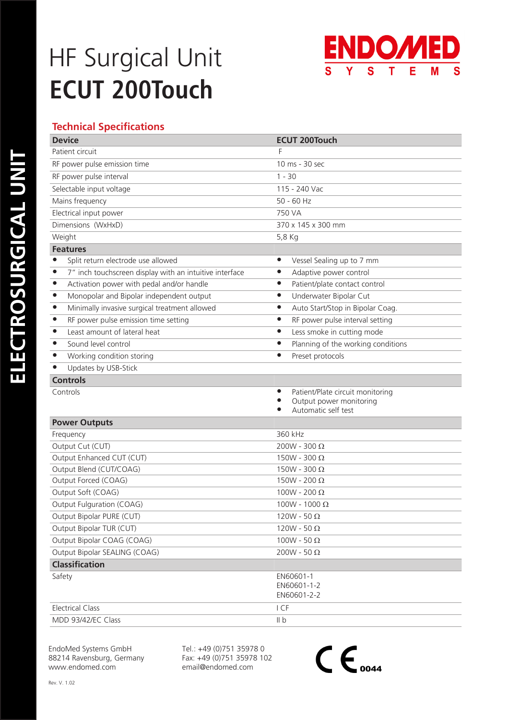### HF Surgical Unit **ECUT 200Touch**



### **Technical Specifications**

| <b>Device</b>                                                        | <b>ECUT 200Touch</b>                                                                                              |
|----------------------------------------------------------------------|-------------------------------------------------------------------------------------------------------------------|
| Patient circuit                                                      |                                                                                                                   |
| RF power pulse emission time                                         | 10 ms - 30 sec                                                                                                    |
| RF power pulse interval                                              | $1 - 30$                                                                                                          |
| Selectable input voltage                                             | 115 - 240 Vac                                                                                                     |
| Mains frequency                                                      | $50 - 60$ Hz                                                                                                      |
| Electrical input power                                               | 750 VA                                                                                                            |
| Dimensions (WxHxD)                                                   | 370 x 145 x 300 mm                                                                                                |
| Weight                                                               | 5,8 Kg                                                                                                            |
| <b>Features</b>                                                      |                                                                                                                   |
| Split return electrode use allowed                                   | Vessel Sealing up to 7 mm<br>$\bullet$                                                                            |
| 7" inch touchscreen display with an intuitive interface<br>$\bullet$ | Adaptive power control<br>$\bullet$                                                                               |
| Activation power with pedal and/or handle<br>$\bullet$               | Patient/plate contact control<br>$\bullet$                                                                        |
| $\bullet$<br>Monopolar and Bipolar independent output                | Underwater Bipolar Cut<br>$\bullet$                                                                               |
| Minimally invasive surgical treatment allowed<br>$\bullet$           | Auto Start/Stop in Bipolar Coag.<br>$\bullet$                                                                     |
| RF power pulse emission time setting<br>$\bullet$                    | RF power pulse interval setting<br>$\bullet$                                                                      |
| Least amount of lateral heat<br>$\bullet$                            | Less smoke in cutting mode<br>$\bullet$                                                                           |
| Sound level control<br>$\bullet$                                     | Planning of the working conditions<br>$\bullet$                                                                   |
| Working condition storing<br>$\bullet$                               | Preset protocols<br>$\bullet$                                                                                     |
| Updates by USB-Stick<br>$\bullet$                                    |                                                                                                                   |
| <b>Controls</b>                                                      |                                                                                                                   |
| Controls                                                             | Patient/Plate circuit monitoring<br>$\bullet$<br>Output power monitoring<br>$\bullet$<br>Automatic self test<br>● |
| <b>Power Outputs</b>                                                 |                                                                                                                   |
| Frequency                                                            | 360 kHz                                                                                                           |
| Output Cut (CUT)                                                     | $200W - 300 \Omega$                                                                                               |
| Output Enhanced CUT (CUT)                                            | $150W - 300 \Omega$                                                                                               |
| Output Blend (CUT/COAG)                                              | $150W - 300 \Omega$                                                                                               |
| Output Forced (COAG)                                                 | $150W - 200 \Omega$                                                                                               |
| Output Soft (COAG)                                                   | 100W - 200 $\Omega$                                                                                               |
| Output Fulguration (COAG)                                            | $100W - 1000 Ω$                                                                                                   |
| Output Bipolar PURE (CUT)                                            | $120W - 50 \Omega$                                                                                                |
| Output Bipolar TUR (CUT)                                             | 120W - 50 $\Omega$                                                                                                |
| Output Bipolar COAG (COAG)                                           | 100W - 50 $\Omega$                                                                                                |
| Output Bipolar SEALING (COAG)                                        | 200W - 50 $\Omega$                                                                                                |
| <b>Classification</b>                                                |                                                                                                                   |
| Safety                                                               | EN60601-1<br>EN60601-1-2<br>EN60601-2-2                                                                           |
| <b>Electrical Class</b>                                              | I CF                                                                                                              |
| MDD 93/42/EC Class                                                   | II b                                                                                                              |

EndoMed Systems GmbH 88214 Ravensburg, Germany www.endomed.com

Tel.: +49 (0)751 35978 0 Fax: +49 (0)751 35978 102 email@endomed.com

 $\mathsf{C}\mathsf{E}_{\scriptscriptstyle{\mathrm{0044}}}$